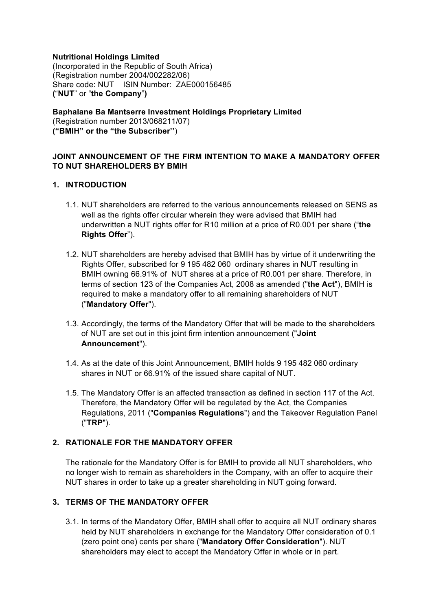### **Nutritional Holdings Limited**

(Incorporated in the Republic of South Africa) (Registration number 2004/002282/06) Share code: NUT ISIN Number: ZAE000156485 **(**"**NUT**" or "**the Company**"**)**

# **Baphalane Ba Mantserre Investment Holdings Proprietary Limited**

(Registration number 2013/068211/07) **("BMIH" or the "the Subscriber''**)

### **JOINT ANNOUNCEMENT OF THE FIRM INTENTION TO MAKE A MANDATORY OFFER TO NUT SHAREHOLDERS BY BMIH**

### **1. INTRODUCTION**

- 1.1. NUT shareholders are referred to the various announcements released on SENS as well as the rights offer circular wherein they were advised that BMIH had underwritten a NUT rights offer for R10 million at a price of R0.001 per share ("**the Rights Offer**").
- 1.2. NUT shareholders are hereby advised that BMIH has by virtue of it underwriting the Rights Offer, subscribed for 9 195 482 060 ordinary shares in NUT resulting in BMIH owning 66.91% of NUT shares at a price of R0.001 per share. Therefore, in terms of section 123 of the Companies Act, 2008 as amended ("**the Act**"), BMIH is required to make a mandatory offer to all remaining shareholders of NUT ("**Mandatory Offer**").
- 1.3. Accordingly, the terms of the Mandatory Offer that will be made to the shareholders of NUT are set out in this joint firm intention announcement ("**Joint Announcement**").
- 1.4. As at the date of this Joint Announcement, BMIH holds 9 195 482 060 ordinary shares in NUT or 66.91% of the issued share capital of NUT.
- 1.5. The Mandatory Offer is an affected transaction as defined in section 117 of the Act. Therefore, the Mandatory Offer will be regulated by the Act, the Companies Regulations, 2011 ("**Companies Regulations**") and the Takeover Regulation Panel ("**TRP**").

### **2. RATIONALE FOR THE MANDATORY OFFER**

The rationale for the Mandatory Offer is for BMIH to provide all NUT shareholders, who no longer wish to remain as shareholders in the Company, with an offer to acquire their NUT shares in order to take up a greater shareholding in NUT going forward.

### **3. TERMS OF THE MANDATORY OFFER**

3.1. In terms of the Mandatory Offer, BMIH shall offer to acquire all NUT ordinary shares held by NUT shareholders in exchange for the Mandatory Offer consideration of 0.1 (zero point one) cents per share ("**Mandatory Offer Consideration**"). NUT shareholders may elect to accept the Mandatory Offer in whole or in part.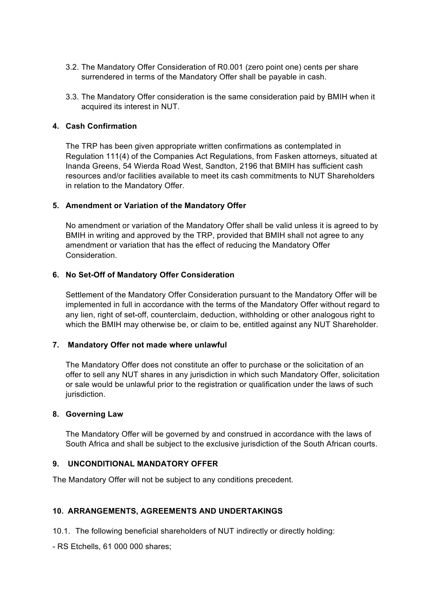- 3.2. The Mandatory Offer Consideration of R0.001 (zero point one) cents per share surrendered in terms of the Mandatory Offer shall be payable in cash.
- 3.3. The Mandatory Offer consideration is the same consideration paid by BMIH when it acquired its interest in NUT.

### **4. Cash Confirmation**

The TRP has been given appropriate written confirmations as contemplated in Regulation 111(4) of the Companies Act Regulations, from Fasken attorneys, situated at Inanda Greens, 54 Wierda Road West, Sandton, 2196 that BMIH has sufficient cash resources and/or facilities available to meet its cash commitments to NUT Shareholders in relation to the Mandatory Offer.

### **5. Amendment or Variation of the Mandatory Offer**

No amendment or variation of the Mandatory Offer shall be valid unless it is agreed to by BMIH in writing and approved by the TRP, provided that BMIH shall not agree to any amendment or variation that has the effect of reducing the Mandatory Offer Consideration.

### **6. No Set-Off of Mandatory Offer Consideration**

Settlement of the Mandatory Offer Consideration pursuant to the Mandatory Offer will be implemented in full in accordance with the terms of the Mandatory Offer without regard to any lien, right of set-off, counterclaim, deduction, withholding or other analogous right to which the BMIH may otherwise be, or claim to be, entitled against any NUT Shareholder.

#### **7. Mandatory Offer not made where unlawful**

The Mandatory Offer does not constitute an offer to purchase or the solicitation of an offer to sell any NUT shares in any jurisdiction in which such Mandatory Offer, solicitation or sale would be unlawful prior to the registration or qualification under the laws of such jurisdiction.

#### **8. Governing Law**

The Mandatory Offer will be governed by and construed in accordance with the laws of South Africa and shall be subject to the exclusive jurisdiction of the South African courts.

# **9. UNCONDITIONAL MANDATORY OFFER**

The Mandatory Offer will not be subject to any conditions precedent.

### **10. ARRANGEMENTS, AGREEMENTS AND UNDERTAKINGS**

10.1. The following beneficial shareholders of NUT indirectly or directly holding:

- RS Etchells, 61 000 000 shares;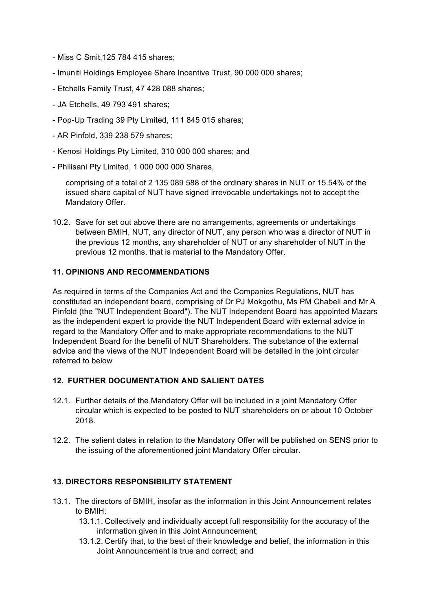- Miss C Smit,125 784 415 shares;
- Imuniti Holdings Employee Share Incentive Trust, 90 000 000 shares;
- Etchells Family Trust, 47 428 088 shares;
- JA Etchells, 49 793 491 shares;
- Pop-Up Trading 39 Pty Limited, 111 845 015 shares;
- AR Pinfold, 339 238 579 shares;
- Kenosi Holdings Pty Limited, 310 000 000 shares; and
- Philisani Pty Limited, 1 000 000 000 Shares,

comprising of a total of 2 135 089 588 of the ordinary shares in NUT or 15.54% of the issued share capital of NUT have signed irrevocable undertakings not to accept the Mandatory Offer.

10.2. Save for set out above there are no arrangements, agreements or undertakings between BMIH, NUT, any director of NUT, any person who was a director of NUT in the previous 12 months, any shareholder of NUT or any shareholder of NUT in the previous 12 months, that is material to the Mandatory Offer.

### **11. OPINIONS AND RECOMMENDATIONS**

As required in terms of the Companies Act and the Companies Regulations, NUT has constituted an independent board, comprising of Dr PJ Mokgothu, Ms PM Chabeli and Mr A Pinfold (the "NUT Independent Board"). The NUT Independent Board has appointed Mazars as the independent expert to provide the NUT Independent Board with external advice in regard to the Mandatory Offer and to make appropriate recommendations to the NUT Independent Board for the benefit of NUT Shareholders. The substance of the external advice and the views of the NUT Independent Board will be detailed in the joint circular referred to below

### **12. FURTHER DOCUMENTATION AND SALIENT DATES**

- 12.1. Further details of the Mandatory Offer will be included in a joint Mandatory Offer circular which is expected to be posted to NUT shareholders on or about 10 October 2018.
- 12.2. The salient dates in relation to the Mandatory Offer will be published on SENS prior to the issuing of the aforementioned joint Mandatory Offer circular.

# **13. DIRECTORS RESPONSIBILITY STATEMENT**

- 13.1. The directors of BMIH, insofar as the information in this Joint Announcement relates to BMIH:
	- 13.1.1. Collectively and individually accept full responsibility for the accuracy of the information given in this Joint Announcement;
	- 13.1.2. Certify that, to the best of their knowledge and belief, the information in this Joint Announcement is true and correct; and